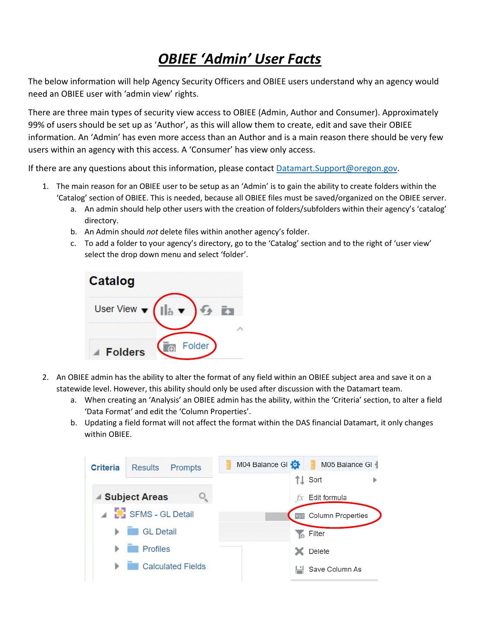## *OBIEE 'Admin' User Facts*

The below information will help Agency Security Officers and OBIEE users understand why an agency would need an OBIEE user with 'admin view' rights.

There are three main types of security view access to OBIEE (Admin, Author and Consumer). Approximately 99% of users should be set up as 'Author', as this will allow them to create, edit and save their OBIEE information. An 'Admin' has even more access than an Author and is a main reason there should be very few users within an agency with this access. A 'Consumer' has view only access.

If there are any questions about this information, please contact [Datamart.Support@oregon.gov.](mailto:Datamart.Support@oregon.gov)

- 1. The main reason for an OBIEE user to be setup as an 'Admin' is to gain the ability to create folders within the 'Catalog' section of OBIEE. This is needed, because all OBIEE files must be saved/organized on the OBIEE server.
	- a. An admin should help other users with the creation of folders/subfolders within their agency's 'catalog' directory.
	- b. An Admin should *not* delete files within another agency's folder.
	- c. To add a folder to your agency's directory, go to the 'Catalog' section and to the right of 'user view' select the drop down menu and select 'folder'.



- 2. An OBIEE admin has the ability to alter the format of any field within an OBIEE subject area and save it on a statewide level. However, this ability should only be used after discussion with the Datamart team.
	- a. When creating an 'Analysis' an OBIEE admin has the ability, within the 'Criteria' section, to alter a field 'Data Format' and edit the 'Column Properties'.
	- b. Updating a field format will not affect the format within the DAS financial Datamart, it only changes within OBIEE.